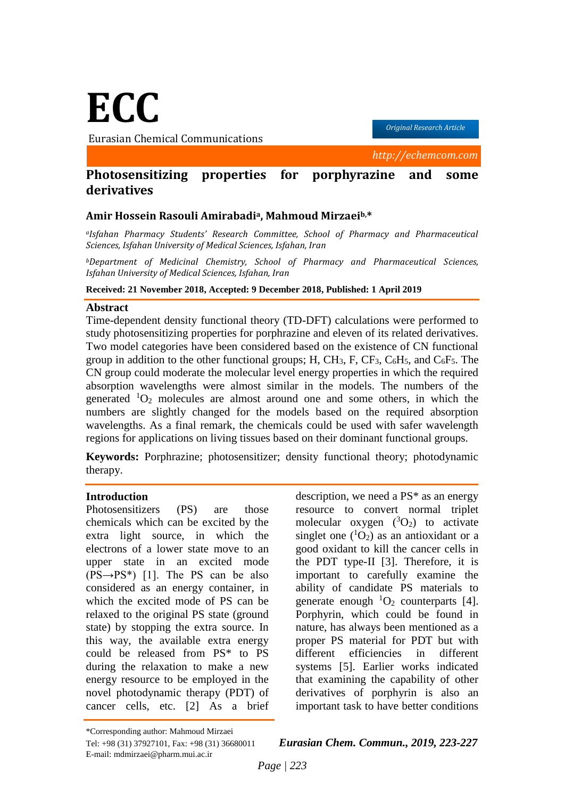# **ECC**

Eurasian Chemical Communications

*Original Research Article*

*http://echemcom.com*

# **Photosensitizing properties for porphyrazine and some derivatives**

### **Amir Hossein Rasouli Amirabadia, Mahmoud Mirzaeib,\***

*<sup>a</sup>Isfahan Pharmacy Students' Research Committee, School of Pharmacy and Pharmaceutical Sciences, Isfahan University of Medical Sciences, Isfahan, Iran*

*<sup>b</sup>Department of Medicinal Chemistry, School of Pharmacy and Pharmaceutical Sciences, Isfahan University of Medical Sciences, Isfahan, Iran*

#### **Received: 21 November 2018, Accepted: 9 December 2018, Published: 1 April 2019**

#### **Abstract**

Time-dependent density functional theory (TD-DFT) calculations were performed to study photosensitizing properties for porphrazine and eleven of its related derivatives. Two model categories have been considered based on the existence of CN functional group in addition to the other functional groups; H, CH<sub>3</sub>, F, CF<sub>3</sub>, C<sub>6</sub>H<sub>5</sub>, and C<sub>6</sub>F<sub>5</sub>. The CN group could moderate the molecular level energy properties in which the required absorption wavelengths were almost similar in the models. The numbers of the generated  ${}^{1}O_{2}$  molecules are almost around one and some others, in which the numbers are slightly changed for the models based on the required absorption wavelengths. As a final remark, the chemicals could be used with safer wavelength regions for applications on living tissues based on their dominant functional groups.

**Keywords:** Porphrazine; photosensitizer; density functional theory; photodynamic therapy.

### **Introduction**

Photosensitizers (PS) are those chemicals which can be excited by the extra light source, in which the electrons of a lower state move to an upper state in an excited mode  $(PS \rightarrow PS^*)$  [1]. The PS can be also considered as an energy container, in which the excited mode of PS can be relaxed to the original PS state (ground state) by stopping the extra source. In this way, the available extra energy could be released from PS\* to PS during the relaxation to make a new energy resource to be employed in the novel photodynamic therapy (PDT) of cancer cells, etc. [2] As a brief description, we need a PS\* as an energy resource to convert normal triplet molecular oxygen  $(^3O_2)$  to activate singlet one  $({}^{1}O_{2})$  as an antioxidant or a good oxidant to kill the cancer cells in the PDT type-II [3]. Therefore, it is important to carefully examine the ability of candidate PS materials to generate enough  ${}^{1}O_{2}$  counterparts [4]. Porphyrin, which could be found in nature, has always been mentioned as a proper PS material for PDT but with different efficiencies in different systems [5]. Earlier works indicated that examining the capability of other derivatives of porphyrin is also an important task to have better conditions

Tel: +98 (31) 37927101, Fax: +98 (31) 36680011 *Eurasian Chem. Commun., 2019, 223-227*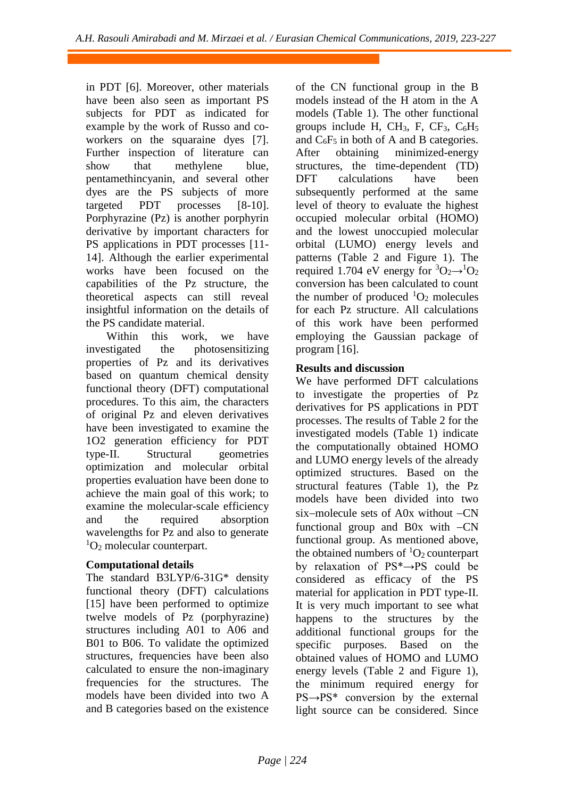in PDT [6]. Moreover, other materials have been also seen as important PS subjects for PDT as indicated for example by the work of Russo and coworkers on the squaraine dyes [7]. Further inspection of literature can show that methylene blue, pentamethincyanin, and several other dyes are the PS subjects of more targeted PDT processes [8-10]. Porphyrazine (Pz) is another porphyrin derivative by important characters for PS applications in PDT processes [11- 14]. Although the earlier experimental works have been focused on the capabilities of the Pz structure, the theoretical aspects can still reveal insightful information on the details of the PS candidate material.

Within this work, we have investigated the photosensitizing properties of Pz and its derivatives based on quantum chemical density functional theory (DFT) computational procedures. To this aim, the characters of original Pz and eleven derivatives have been investigated to examine the 1O2 generation efficiency for PDT type-II. Structural geometries optimization and molecular orbital properties evaluation have been done to achieve the main goal of this work; to examine the molecular-scale efficiency and the required absorption wavelengths for Pz and also to generate  ${}^{1}O_{2}$  molecular counterpart.

# **Computational details**

The standard B3LYP/6-31G\* density functional theory (DFT) calculations [15] have been performed to optimize twelve models of Pz (porphyrazine) structures including A01 to A06 and B01 to B06. To validate the optimized structures, frequencies have been also calculated to ensure the non-imaginary frequencies for the structures. The models have been divided into two A and B categories based on the existence of the CN functional group in the B models instead of the H atom in the A models (Table 1). The other functional groups include H,  $CH<sub>3</sub>$ , F,  $CF<sub>3</sub>$ ,  $C<sub>6</sub>H<sub>5</sub>$ and  $C_6F_5$  in both of A and B categories. After obtaining minimized-energy structures, the time-dependent (TD) DFT calculations have been subsequently performed at the same level of theory to evaluate the highest occupied molecular orbital (HOMO) and the lowest unoccupied molecular orbital (LUMO) energy levels and patterns (Table 2 and Figure 1). The required 1.704 eV energy for  ${}^{3}O_{2} \rightarrow {}^{1}O_{2}$ conversion has been calculated to count the number of produced  ${}^{1}O_{2}$  molecules for each Pz structure. All calculations of this work have been performed employing the Gaussian package of program [16].

# **Results and discussion**

We have performed DFT calculations to investigate the properties of Pz derivatives for PS applications in PDT processes. The results of Table 2 for the investigated models (Table 1) indicate the computationally obtained HOMO and LUMO energy levels of the already optimized structures. Based on the structural features (Table 1), the Pz models have been divided into two six-molecule sets of  $A0x$  without  $-CN$ functional group and B0x with  $-CN$ functional group. As mentioned above, the obtained numbers of  ${}^{1}O_{2}$  counterpart by relaxation of PS\*→PS could be considered as efficacy of the PS material for application in PDT type-II. It is very much important to see what happens to the structures by the additional functional groups for the specific purposes. Based on the obtained values of HOMO and LUMO energy levels (Table 2 and Figure 1), the minimum required energy for PS→PS\* conversion by the external light source can be considered. Since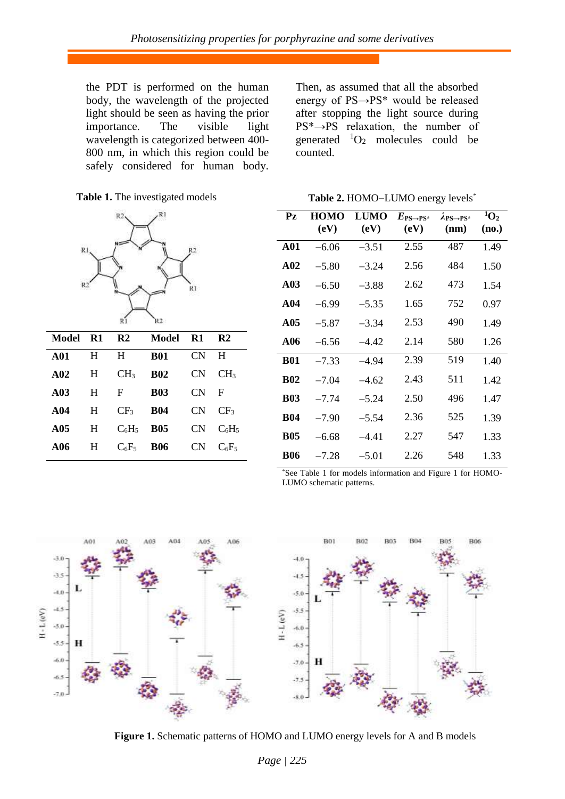the PDT is performed on the human body, the wavelength of the projected light should be seen as having the prior importance. The visible light wavelength is categorized between 400- 800 nm, in which this region could be safely considered for human body. Then, as assumed that all the absorbed energy of PS→PS\* would be released after stopping the light source during PS\*→PS relaxation, the number of generated  ${}^{1}O_{2}$  molecules could be counted.

Table 2. HOMO-LUMO energy levels<sup>\*</sup>

**Table 1.** The investigated models



| Model           | <b>R1</b> | R2              | Model      | <b>R1</b> | R <sub>2</sub>  |
|-----------------|-----------|-----------------|------------|-----------|-----------------|
| A01             | H         | H               | <b>B01</b> | CN        | H               |
| A02             | H         | CH <sub>3</sub> | <b>B02</b> | CN.       | CH <sub>3</sub> |
| A <sub>03</sub> | H         | $\mathbf{F}$    | <b>B03</b> | CN        | F               |
| A <sub>04</sub> | H         | CF <sub>3</sub> | <b>B04</b> | CN.       | CF <sub>3</sub> |
| A05             | H         | $C_6H_5$        | <b>B05</b> | CN.       | $C_6H_5$        |
| A06             | H         | $C_6F_5$        | <b>B06</b> | CN.       | $C_6F_5$        |

| $P_{Z}$         | HOMO<br>(eV) | <b>LUMO</b><br>(eV) | $E_{\text{PS}\rightarrow \text{PS}^*}$<br>(eV) | $\lambda_{PS\rightarrow PS^*}$<br>(nm) | ${}^1O_2$<br>(no.) |
|-----------------|--------------|---------------------|------------------------------------------------|----------------------------------------|--------------------|
| A <sub>01</sub> | $-6.06$      | $-3.51$             | 2.55                                           | 487                                    | 1.49               |
| A <sub>02</sub> | $-5.80$      | $-3.24$             | 2.56                                           | 484                                    | 1.50               |
| A <sub>03</sub> | $-6.50$      | $-3.88$             | 2.62                                           | 473                                    | 1.54               |
| A <sub>04</sub> | $-6.99$      | $-5.35$             | 1.65                                           | 752                                    | 0.97               |
| A05             | $-5.87$      | $-3.34$             | 2.53                                           | 490                                    | 1.49               |
| A <sub>06</sub> | $-6.56$      | -4 42               | 2.14                                           | 580                                    | 1.26               |
| <b>B01</b>      | $-7.33$      | $-4.94$             | 2.39                                           | 519                                    | 1.40               |
| <b>B02</b>      | $-7.04$      | $-4.62$             | 2.43                                           | 511                                    | 1.42               |
| <b>B03</b>      | $-7.74$      | $-5.24$             | 2.50                                           | 496                                    | 1.47               |
| <b>B04</b>      | $-7.90$      | $-5.54$             | 2.36                                           | 525                                    | 1.39               |
| <b>B05</b>      | $-6.68$      | $-4.41$             | 2.27                                           | 547                                    | 1.33               |
| <b>B06</b>      | $-7.28$      | $-5.01$             | 2.26                                           | 548                                    | 1.33               |

\*See Table 1 for models information and Figure 1 for HOMO-LUMO schematic patterns.



**Figure 1.** Schematic patterns of HOMO and LUMO energy levels for A and B models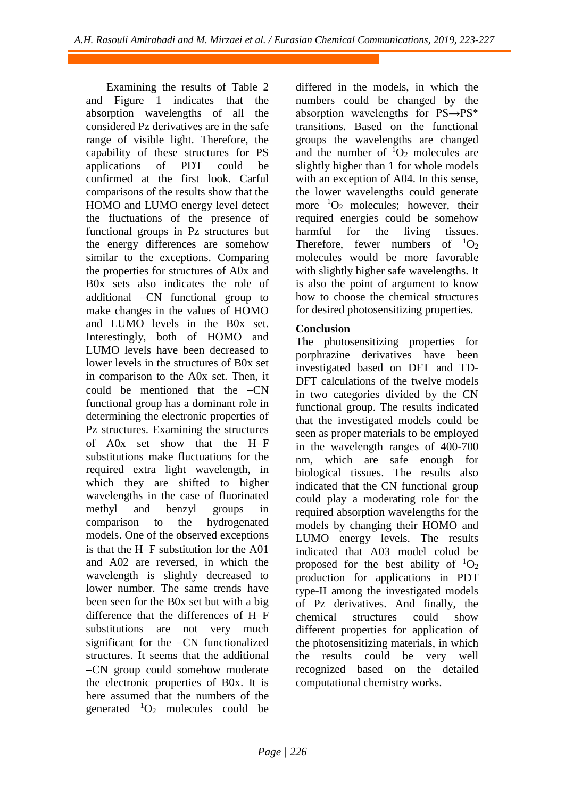Examining the results of Table 2 and Figure 1 indicates that the absorption wavelengths of all the considered Pz derivatives are in the safe range of visible light. Therefore, the capability of these structures for PS applications of PDT could be confirmed at the first look. Carful comparisons of the results show that the HOMO and LUMO energy level detect the fluctuations of the presence of functional groups in Pz structures but the energy differences are somehow similar to the exceptions. Comparing the properties for structures of A0x and B0x sets also indicates the role of additional CN functional group to make changes in the values of HOMO and LUMO levels in the B0x set. Interestingly, both of HOMO and LUMO levels have been decreased to lower levels in the structures of B0x set in comparison to the A0x set. Then, it could be mentioned that the -CN functional group has a dominant role in determining the electronic properties of Pz structures. Examining the structures of  $A0x$  set show that the  $H-F$ substitutions make fluctuations for the required extra light wavelength, in which they are shifted to higher wavelengths in the case of fluorinated methyl and benzyl groups in comparison to the hydrogenated models. One of the observed exceptions is that the  $H-F$  substitution for the  $A01$ and A02 are reversed, in which the wavelength is slightly decreased to lower number. The same trends have been seen for the B0x set but with a big difference that the differences of  $H-F$ substitutions are not very much significant for the -CN functionalized structures. It seems that the additional CN group could somehow moderate the electronic properties of B0x. It is here assumed that the numbers of the generated  ${}^{1}O_{2}$  molecules could be differed in the models, in which the numbers could be changed by the absorption wavelengths for PS→PS\* transitions. Based on the functional groups the wavelengths are changed and the number of  ${}^{1}O_{2}$  molecules are slightly higher than 1 for whole models with an exception of A04. In this sense, the lower wavelengths could generate more  ${}^{1}O_{2}$  molecules; however, their required energies could be somehow harmful for the living tissues. Therefore, fewer numbers of  ${}^{1}O_{2}$ molecules would be more favorable with slightly higher safe wavelengths. It is also the point of argument to know how to choose the chemical structures for desired photosensitizing properties.

## **Conclusion**

The photosensitizing properties for porphrazine derivatives have been investigated based on DFT and TD-DFT calculations of the twelve models in two categories divided by the CN functional group. The results indicated that the investigated models could be seen as proper materials to be employed in the wavelength ranges of 400-700 nm, which are safe enough for biological tissues. The results also indicated that the CN functional group could play a moderating role for the required absorption wavelengths for the models by changing their HOMO and LUMO energy levels. The results indicated that A03 model colud be proposed for the best ability of  ${}^{1}O_{2}$ production for applications in PDT type-II among the investigated models of Pz derivatives. And finally, the chemical structures could show different properties for application of the photosensitizing materials, in which the results could be very well recognized based on the detailed computational chemistry works.